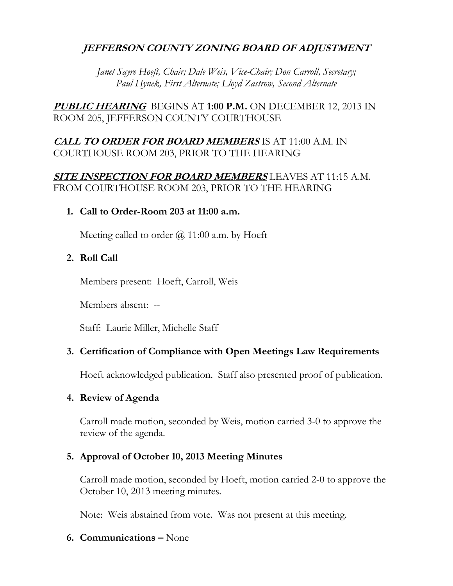## **JEFFERSON COUNTY ZONING BOARD OF ADJUSTMENT**

*Janet Sayre Hoeft, Chair; Dale Weis, Vice-Chair; Don Carroll, Secretary; Paul Hynek, First Alternate; Lloyd Zastrow, Second Alternate*

**PUBLIC HEARING** BEGINS AT **1:00 P.M.** ON DECEMBER 12, 2013 IN ROOM 205, JEFFERSON COUNTY COURTHOUSE

## **CALL TO ORDER FOR BOARD MEMBERS** IS AT 11:00 A.M. IN COURTHOUSE ROOM 203, PRIOR TO THE HEARING

## **SITE INSPECTION FOR BOARD MEMBERS** LEAVES AT 11:15 A.M. FROM COURTHOUSE ROOM 203, PRIOR TO THE HEARING

## **1. Call to Order-Room 203 at 11:00 a.m.**

Meeting called to order  $\omega/211:00$  a.m. by Hoeft

## **2. Roll Call**

Members present: Hoeft, Carroll, Weis

Members absent: --

Staff: Laurie Miller, Michelle Staff

## **3. Certification of Compliance with Open Meetings Law Requirements**

Hoeft acknowledged publication. Staff also presented proof of publication.

## **4. Review of Agenda**

Carroll made motion, seconded by Weis, motion carried 3-0 to approve the review of the agenda.

## **5. Approval of October 10, 2013 Meeting Minutes**

Carroll made motion, seconded by Hoeft, motion carried 2-0 to approve the October 10, 2013 meeting minutes.

Note: Weis abstained from vote. Was not present at this meeting.

## **6. Communications –** None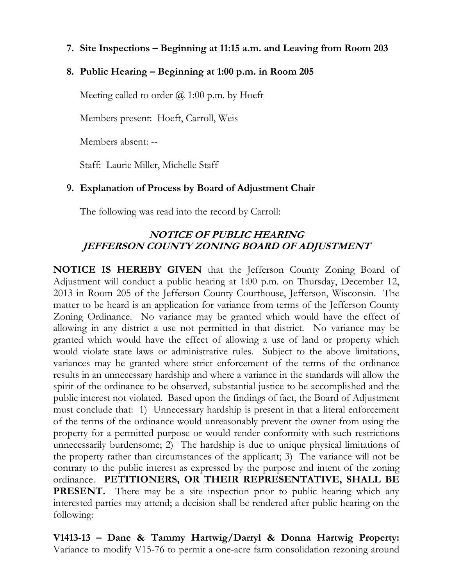**7. Site Inspections – Beginning at 11:15 a.m. and Leaving from Room 203**

## **8. Public Hearing – Beginning at 1:00 p.m. in Room 205**

Meeting called to order  $\omega$  1:00 p.m. by Hoeft

Members present: Hoeft, Carroll, Weis

Members absent: --

Staff: Laurie Miller, Michelle Staff

## **9. Explanation of Process by Board of Adjustment Chair**

The following was read into the record by Carroll:

## **NOTICE OF PUBLIC HEARING JEFFERSON COUNTY ZONING BOARD OF ADJUSTMENT**

**NOTICE IS HEREBY GIVEN** that the Jefferson County Zoning Board of Adjustment will conduct a public hearing at 1:00 p.m. on Thursday, December 12, 2013 in Room 205 of the Jefferson County Courthouse, Jefferson, Wisconsin. The matter to be heard is an application for variance from terms of the Jefferson County Zoning Ordinance. No variance may be granted which would have the effect of allowing in any district a use not permitted in that district. No variance may be granted which would have the effect of allowing a use of land or property which would violate state laws or administrative rules. Subject to the above limitations, variances may be granted where strict enforcement of the terms of the ordinance results in an unnecessary hardship and where a variance in the standards will allow the spirit of the ordinance to be observed, substantial justice to be accomplished and the public interest not violated. Based upon the findings of fact, the Board of Adjustment must conclude that: 1) Unnecessary hardship is present in that a literal enforcement of the terms of the ordinance would unreasonably prevent the owner from using the property for a permitted purpose or would render conformity with such restrictions unnecessarily burdensome; 2) The hardship is due to unique physical limitations of the property rather than circumstances of the applicant; 3) The variance will not be contrary to the public interest as expressed by the purpose and intent of the zoning ordinance. **PETITIONERS, OR THEIR REPRESENTATIVE, SHALL BE PRESENT.** There may be a site inspection prior to public hearing which any interested parties may attend; a decision shall be rendered after public hearing on the following:

**V1413-13 – Dane & Tammy Hartwig/Darryl & Donna Hartwig Property:** Variance to modify V15-76 to permit a one-acre farm consolidation rezoning around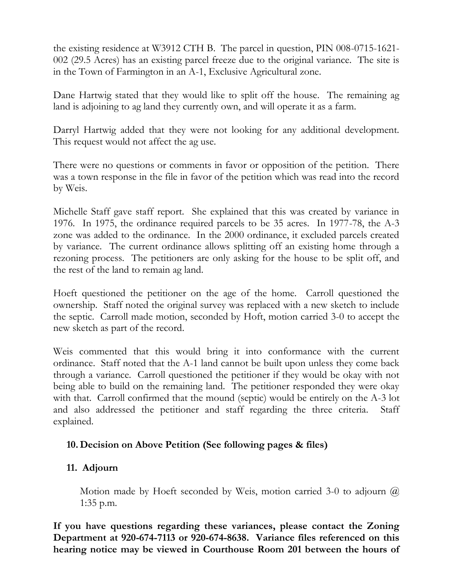the existing residence at W3912 CTH B. The parcel in question, PIN 008-0715-1621- 002 (29.5 Acres) has an existing parcel freeze due to the original variance. The site is in the Town of Farmington in an A-1, Exclusive Agricultural zone.

Dane Hartwig stated that they would like to split off the house. The remaining ag land is adjoining to ag land they currently own, and will operate it as a farm.

Darryl Hartwig added that they were not looking for any additional development. This request would not affect the ag use.

There were no questions or comments in favor or opposition of the petition. There was a town response in the file in favor of the petition which was read into the record by Weis.

Michelle Staff gave staff report. She explained that this was created by variance in 1976. In 1975, the ordinance required parcels to be 35 acres. In 1977-78, the A-3 zone was added to the ordinance. In the 2000 ordinance, it excluded parcels created by variance. The current ordinance allows splitting off an existing home through a rezoning process. The petitioners are only asking for the house to be split off, and the rest of the land to remain ag land.

Hoeft questioned the petitioner on the age of the home. Carroll questioned the ownership. Staff noted the original survey was replaced with a new sketch to include the septic. Carroll made motion, seconded by Hoft, motion carried 3-0 to accept the new sketch as part of the record.

Weis commented that this would bring it into conformance with the current ordinance. Staff noted that the A-1 land cannot be built upon unless they come back through a variance. Carroll questioned the petitioner if they would be okay with not being able to build on the remaining land. The petitioner responded they were okay with that. Carroll confirmed that the mound (septic) would be entirely on the A-3 lot and also addressed the petitioner and staff regarding the three criteria. Staff explained.

## **10. Decision on Above Petition (See following pages & files)**

## **11. Adjourn**

Motion made by Hoeft seconded by Weis, motion carried 3-0 to adjourn  $\omega$ 1:35 p.m.

**If you have questions regarding these variances, please contact the Zoning Department at 920-674-7113 or 920-674-8638. Variance files referenced on this hearing notice may be viewed in Courthouse Room 201 between the hours of**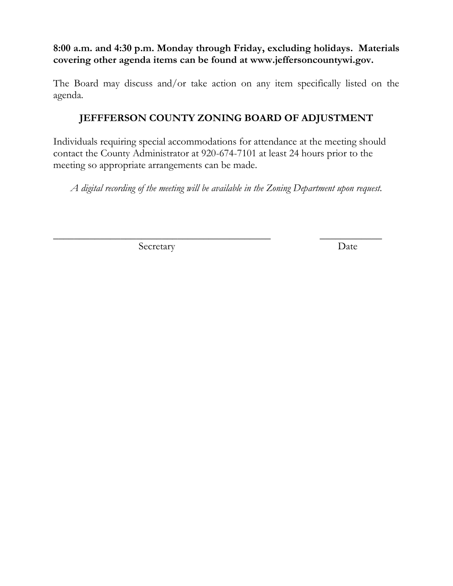**8:00 a.m. and 4:30 p.m. Monday through Friday, excluding holidays. Materials covering other agenda items can be found at www.jeffersoncountywi.gov.**

The Board may discuss and/or take action on any item specifically listed on the agenda.

# **JEFFFERSON COUNTY ZONING BOARD OF ADJUSTMENT**

Individuals requiring special accommodations for attendance at the meeting should contact the County Administrator at 920-674-7101 at least 24 hours prior to the meeting so appropriate arrangements can be made.

*A digital recording of the meeting will be available in the Zoning Department upon request.*

\_\_\_\_\_\_\_\_\_\_\_\_\_\_\_\_\_\_\_\_\_\_\_\_\_\_\_\_\_\_\_\_\_\_\_\_\_\_\_\_\_\_ \_\_\_\_\_\_\_\_\_\_\_\_

Secretary Date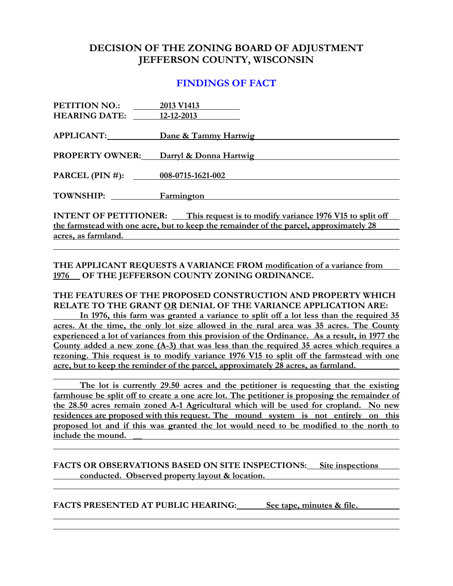## **DECISION OF THE ZONING BOARD OF ADJUSTMENT JEFFERSON COUNTY, WISCONSIN**

#### **FINDINGS OF FACT**

| <b>PETITION NO.:</b>                                                                   | 2013 V1413             |
|----------------------------------------------------------------------------------------|------------------------|
| <b>HEARING DATE:</b>                                                                   | 12-12-2013             |
|                                                                                        |                        |
| APPLICANT:                                                                             | Dane & Tammy Hartwig   |
|                                                                                        |                        |
| <b>PROPERTY OWNER:</b>                                                                 | Darryl & Donna Hartwig |
|                                                                                        |                        |
| PARCEL (PIN #): $008-0715-1621-002$                                                    |                        |
| TOWNSHIP: Farmington                                                                   |                        |
|                                                                                        |                        |
| <b>INTENT OF PETITIONER:</b> This request is to modify variance 1976 V15 to split off  |                        |
| the farmstead with one acre, but to keep the remainder of the parcel, approximately 28 |                        |
| $\sim$ $\sim$ 1 1                                                                      |                        |

**acres, as farmland.** 

**THE APPLICANT REQUESTS A VARIANCE FROM modification of a variance from 1976 OF THE JEFFERSON COUNTY ZONING ORDINANCE.**

#### **THE FEATURES OF THE PROPOSED CONSTRUCTION AND PROPERTY WHICH RELATE TO THE GRANT OR DENIAL OF THE VARIANCE APPLICATION ARE:**

**In 1976, this farm was granted a variance to split off a lot less than the required 35 acres. At the time, the only lot size allowed in the rural area was 35 acres. The County experienced a lot of variances from this provision of the Ordinance. As a result, in 1977 the County added a new zone (A-3) that was less than the required 35 acres which requires a rezoning. This request is to modify variance 1976 V15 to split off the farmstead with one acre, but to keep the reminder of the parcel, approximately 28 acres, as farmland.** 

**The lot is currently 29.50 acres and the petitioner is requesting that the existing farmhouse be split off to create a one acre lot. The petitioner is proposing the remainder of the 28.50 acres remain zoned A-1 Agricultural which will be used for cropland. No new residences are proposed with this request. The mound system is not entirely on this proposed lot and if this was granted the lot would need to be modified to the north to include the mound. \_\_**

**FACTS OR OBSERVATIONS BASED ON SITE INSPECTIONS: Site inspections conducted. Observed property layout & location.**

**FACTS PRESENTED AT PUBLIC HEARING: See tape, minutes & file.**